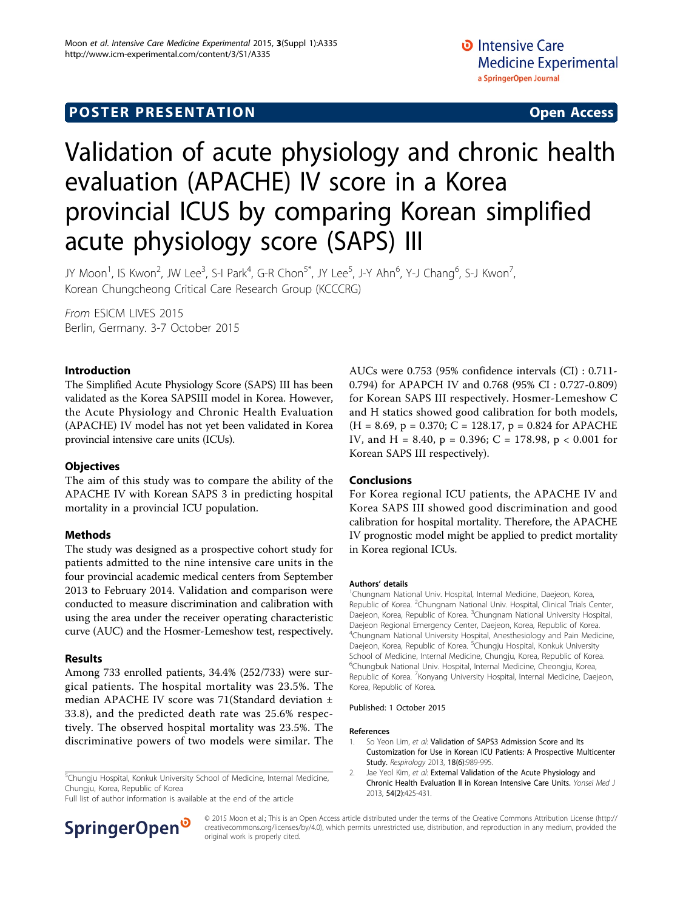# **POSTER PRESENTATION CONSUMING ACCESS**

# Validation of acute physiology and chronic health evaluation (APACHE) IV score in a Korea provincial ICUS by comparing Korean simplified acute physiology score (SAPS) III

JY Moon<sup>1</sup>, IS Kwon<sup>2</sup>, JW Lee<sup>3</sup>, S-I Park<sup>4</sup>, G-R Chon<sup>5\*</sup>, JY Lee<sup>5</sup>, J-Y Ahn<sup>6</sup>, Y-J Chang<sup>6</sup>, S-J Kwon<sup>7</sup> , Korean Chungcheong Critical Care Research Group (KCCCRG)

From ESICM LIVES 2015 Berlin, Germany. 3-7 October 2015

# Introduction

The Simplified Acute Physiology Score (SAPS) III has been validated as the Korea SAPSIII model in Korea. However, the Acute Physiology and Chronic Health Evaluation (APACHE) IV model has not yet been validated in Korea provincial intensive care units (ICUs).

# **Objectives**

The aim of this study was to compare the ability of the APACHE IV with Korean SAPS 3 in predicting hospital mortality in a provincial ICU population.

# Methods

The study was designed as a prospective cohort study for patients admitted to the nine intensive care units in the four provincial academic medical centers from September 2013 to February 2014. Validation and comparison were conducted to measure discrimination and calibration with using the area under the receiver operating characteristic curve (AUC) and the Hosmer-Lemeshow test, respectively.

### Results

Among 733 enrolled patients, 34.4% (252/733) were surgical patients. The hospital mortality was 23.5%. The median APACHE IV score was 71(Standard deviation ± 33.8), and the predicted death rate was 25.6% respectively. The observed hospital mortality was 23.5%. The discriminative powers of two models were similar. The

<sup>5</sup>Chungju Hospital, Konkuk University School of Medicine, Internal Medicine, Chungju, Korea, Republic of Korea

Full list of author information is available at the end of the article



AUCs were 0.753 (95% confidence intervals (CI) : 0.711- 0.794) for APAPCH IV and 0.768 (95% CI : 0.727-0.809) for Korean SAPS III respectively. Hosmer-Lemeshow C and H statics showed good calibration for both models,  $(H = 8.69, p = 0.370; C = 128.17, p = 0.824$  for APACHE IV, and H = 8.40, p = 0.396; C = 178.98, p < 0.001 for Korean SAPS III respectively).

### Conclusions

For Korea regional ICU patients, the APACHE IV and Korea SAPS III showed good discrimination and good calibration for hospital mortality. Therefore, the APACHE IV prognostic model might be applied to predict mortality in Korea regional ICUs.

#### Authors' details <sup>1</sup>

<sup>1</sup>Chungnam National Univ. Hospital, Internal Medicine, Daejeon, Korea, Republic of Korea. <sup>2</sup>Chungnam National Univ. Hospital, Clinical Trials Center Daejeon, Korea, Republic of Korea. <sup>3</sup>Chungnam National University Hospital Daejeon Regional Emergency Center, Daejeon, Korea, Republic of Korea. 4 Chungnam National University Hospital, Anesthesiology and Pain Medicine, Daejeon, Korea, Republic of Korea. <sup>5</sup>Chungju Hospital, Konkuk University School of Medicine, Internal Medicine, Chungju, Korea, Republic of Korea. 6 Chungbuk National Univ. Hospital, Internal Medicine, Cheongju, Korea, Republic of Korea. <sup>7</sup> Konyang University Hospital, Internal Medicine, Daejeon, Korea, Republic of Korea.

#### Published: 1 October 2015

#### References

- 1. So Yeon Lim, et al: Validation of SAPS3 Admission Score and Its Customization for Use in Korean ICU Patients: A Prospective Multicenter Study. Respirology 2013, 18(6):989-995.
- 2. Jae Yeol Kim, et al: External Validation of the Acute Physiology and Chronic Health Evaluation II in Korean Intensive Care Units. Yonsei Med J 2013, 54(2):425-431.

© 2015 Moon et al.; This is an Open Access article distributed under the terms of the Creative Commons Attribution License [\(http://](http://creativecommons.org/licenses/by/4.0) [creativecommons.org/licenses/by/4.0](http://creativecommons.org/licenses/by/4.0)), which permits unrestricted use, distribution, and reproduction in any medium, provided the original work is properly cited.